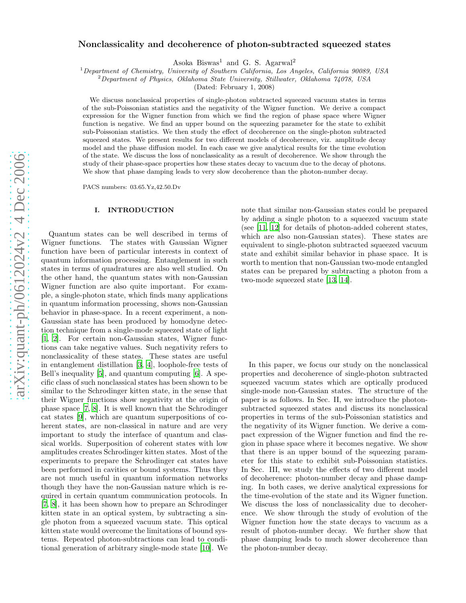# Nonclassicality and decoherence of photon-subtracted squeezed states

Asoka Biswas <sup>1</sup> and G. S. Agarwal 2

<sup>1</sup>Department of Chemistry, University of Southern California, Los Angeles, California 90089, USA

 ${}^{2}$ Department of Physics, Oklahoma State University, Stillwater, Oklahoma  $74078$ , USA

(Dated: February 1, 2008)

We discuss nonclassical properties of single-photon subtracted squeezed vacuum states in terms of the sub-Poissonian statistics and the negativity of the Wigner function. We derive a compact expression for the Wigner function from which we find the region of phase space where Wigner function is negative. We find an upper bound on the squeezing parameter for the state to exhibit sub-Poissonian statistics. We then study the effect of decoherence on the single-photon subtracted squeezed states. We present results for two different models of decoherence, viz. amplitude decay model and the phase diffusion model. In each case we give analytical results for the time evolution of the state. We discuss the loss of nonclassicality as a result of decoherence. We show through the study of their phase-space properties how these states decay to vacuum due to the decay of photons. We show that phase damping leads to very slow decoherence than the photon-number decay.

PACS numbers: 03.65.Yz,42.50.Dv

# I. INTRODUCTION

Quantum states can be well described in terms of Wigner functions. The states with Gaussian Wigner function have been of particular interests in context of quantum information processing. Entanglement in such states in terms of quadratures are also well studied. On the other hand, the quantum states with non-Gaussian Wigner function are also quite important. For example, a single-photon state, which finds many applications in quantum information processing, shows non-Gaussian behavior in phase-space. In a recent experiment, a non-Gaussian state has been produced by homodyne detection technique from a single-mode squeezed state of light [\[1,](#page-5-0) [2\]](#page-5-1). For certain non-Gaussian states, Wigner functions can take negative values. Such negativity refers to nonclassicality of these states. These states are useful in entanglement distillation [\[3](#page-5-2), [4](#page-5-3)], loophole-free tests o f Bell's inequality [\[5\]](#page-5-4), and quantum computing [\[6](#page-5-5)]. A specific class of such nonclassical states has been shown to be similar to the Schrodinger kitten state, in the sense that their Wigner functions show negativity at the origin of phase space [\[7,](#page-5-6) [8\]](#page-5-7). It is well known that the Schrodinger cat states [\[9](#page-5-8)], which are quantum superpositions of coherent states, are non-classical in nature and are very important to study the interface of quantum and classical worlds. Superposition of coherent states with low amplitudes creates Schrodinger kitten states. Most of the experiments to prepare the Schrodinger cat states have been performed in cavities or bound systems. Thus they are not much useful in quantum information networks though they have the non-Gaussian nature which is required in certain quantum communication protocols. In [\[7,](#page-5-6) [8\]](#page-5-7), it has been shown how to prepare an Schrodinger kitten state in an optical system, by subtracting a single photon from a squeezed vacuum state. This optical kitten state would overcome the limitations of bound systems. Repeated photon-subtractions can lead to conditional generation of arbitrary single-mode state [\[10](#page-5-9)]. We

note that similar non-Gaussian states could be prepared by adding a single photon to a squeezed vacuum state (see [\[11,](#page-5-10) [12\]](#page-5-11) for details of photon-added coherent states, which are also non-Gaussian states). These states are equivalent to single-photon subtracted squeezed vacuum state and exhibit similar behavior in phase space. It is worth to mention that non-Gaussian two-mode entangled states can be prepared by subtracting a photon from a two-mode squeezed state [\[13](#page-5-12), [14](#page-5-13)].

In this paper, we focus our study on the nonclassical properties and decoherence of single-photon subtracted squeezed vacuum states which are optically produced single-mode non-Gaussian states. The structure of the paper is as follows. In Sec. II, we introduce the photonsubtracted squeezed states and discuss its nonclassical properties in terms of the sub-Poissonian statistics and the negativity of its Wigner function. We derive a compact expression of the Wigner function and find the region in phase space where it becomes negative. We show that there is an upper bound of the squeezing parameter for this state to exhibit sub-Poissonian statistics. In Sec. III, we study the effects of two different model of decoherence: photon-number decay and phase damping. In both cases, we derive analytical expressions for the time-evolution of the state and its Wigner function. We discuss the loss of nonclassicality due to decoherence. We show through the study of evolution of the Wigner function how the state decays to vacuum as a result of photon-number decay. We further show that phase damping leads to much slower decoherence than the photon-number decay.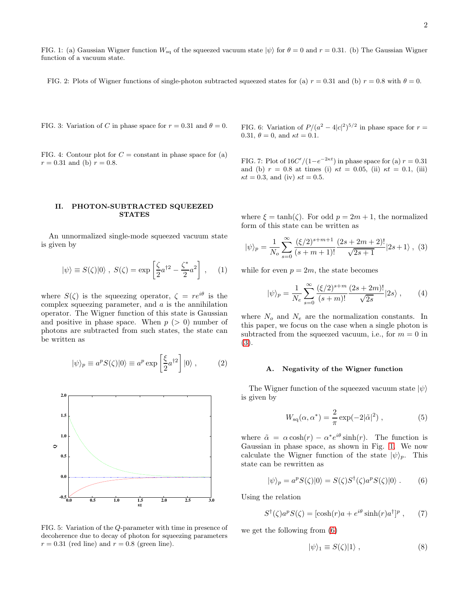<span id="page-1-1"></span>FIG. 1: (a) Gaussian Wigner function  $W_{sq}$  of the squeezed vacuum state  $|\psi\rangle$  for  $\theta = 0$  and  $r = 0.31$ . (b) The Gaussian Wigner function of a vacuum state.

<span id="page-1-4"></span>FIG. 2: Plots of Wigner functions of single-photon subtracted squeezed states for (a)  $r = 0.31$  and (b)  $r = 0.8$  with  $\theta = 0$ .

<span id="page-1-5"></span>FIG. 3: Variation of C in phase space for  $r = 0.31$  and  $\theta = 0$ .

<span id="page-1-6"></span>FIG. 4: Contour plot for  $C =$  constant in phase space for (a)  $r = 0.31$  and (b)  $r = 0.8$ .

## II. PHOTON-SUBTRACTED SQUEEZED STATES

An unnormalized single-mode squeezed vacuum state is given by

$$
|\psi\rangle \equiv S(\zeta)|0\rangle \ , \ S(\zeta) = \exp\left[\frac{\zeta}{2}a^{\dagger 2} - \frac{\zeta^*}{2}a^2\right] \ , \quad (1)
$$

where  $S(\zeta)$  is the squeezing operator,  $\zeta = re^{i\theta}$  is the complex squeezing parameter, and  $a$  is the annihilation operator. The Wigner function of this state is Gaussian and positive in phase space. When  $p > 0$  number of photons are subtracted from such states, the state can be written as

$$
|\psi\rangle_p \equiv a^p S(\zeta)|0\rangle \equiv a^p \exp\left[\frac{\xi}{2}a^{\dagger 2}\right]|0\rangle ,\qquad (2)
$$



<span id="page-1-7"></span>FIG. 5: Variation of the Q-parameter with time in presence of decoherence due to decay of photon for squeezing parameters  $r = 0.31$  (red line) and  $r = 0.8$  (green line).

<span id="page-1-8"></span>FIG. 6: Variation of  $P/(a^2 - 4|c|^2)^{5/2}$  in phase space for  $r =$ 0.31,  $\theta = 0$ , and  $\kappa t = 0.1$ .

<span id="page-1-9"></span>FIG. 7: Plot of  $16C'/(1-e^{-2\kappa t})$  in phase space for (a)  $r=0.31$ and (b)  $r = 0.8$  at times (i)  $\kappa t = 0.05$ , (ii)  $\kappa t = 0.1$ , (iii)  $\kappa t = 0.3$ , and (iv)  $\kappa t = 0.5$ .

where  $\xi = \tanh(\zeta)$ . For odd  $p = 2m + 1$ , the normalized form of this state can be written as

<span id="page-1-0"></span>
$$
|\psi\rangle_p = \frac{1}{N_o} \sum_{s=0}^{\infty} \frac{(\xi/2)^{s+m+1}}{(s+m+1)!} \frac{(2s+2m+2)!}{\sqrt{2s+1}} |2s+1\rangle , \tag{3}
$$

while for even  $p = 2m$ , the state becomes

$$
|\psi\rangle_p = \frac{1}{N_e} \sum_{s=0}^{\infty} \frac{(\xi/2)^{s+m}}{(s+m)!} \frac{(2s+2m)!}{\sqrt{2s}} |2s\rangle , \qquad (4)
$$

where  $N_o$  and  $N_e$  are the normalization constants. In this paper, we focus on the case when a single photon is subtracted from the squeezed vacuum, i.e., for  $m = 0$  in [\(3\)](#page-1-0).

#### A. Negativity of the Wigner function

The Wigner function of the squeezed vacuum state  $|\psi\rangle$ is given by

$$
W_{\rm sq}(\alpha, \alpha^*) = \frac{2}{\pi} \exp(-2|\tilde{\alpha}|^2) , \qquad (5)
$$

where  $\tilde{\alpha} = \alpha \cosh(r) - \alpha^* e^{i\theta} \sinh(r)$ . The function is Gaussian in phase space, as shown in Fig. [1.](#page-1-1) We now calculate the Wigner function of the state  $|\psi\rangle_p$ . This state can be rewritten as

<span id="page-1-2"></span>
$$
|\psi\rangle_p = a^p S(\zeta)|0\rangle = S(\zeta)S^{\dagger}(\zeta)a^p S(\zeta)|0\rangle . \qquad (6)
$$

Using the relation

$$
S^{\dagger}(\zeta)a^{p}S(\zeta) = [\cosh(r)a + e^{i\theta}\sinh(r)a^{\dagger}]^{p}, \qquad (7)
$$

we get the following from [\(6\)](#page-1-2)

<span id="page-1-3"></span>
$$
|\psi\rangle_1 \equiv S(\zeta)|1\rangle , \qquad (8)
$$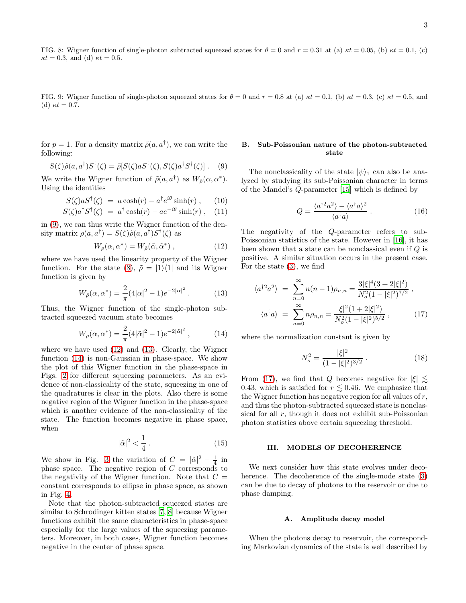<span id="page-2-6"></span>FIG. 8: Wigner function of single-photon subtracted squeezed states for  $\theta = 0$  and  $r = 0.31$  at (a)  $\kappa t = 0.05$ , (b)  $\kappa t = 0.1$ , (c)  $\kappa t = 0.3$ , and (d)  $\kappa t = 0.5$ .

<span id="page-2-7"></span>FIG. 9: Wigner function of single-photon squeezed states for  $\theta = 0$  and  $r = 0.8$  at (a)  $\kappa t = 0.1$ , (b)  $\kappa t = 0.3$ , (c)  $\kappa t = 0.5$ , and (d)  $\kappa t = 0.7$ .

for  $p = 1$ . For a density matrix  $\tilde{\rho}(a, a^{\dagger})$ , we can write the following:

<span id="page-2-0"></span>
$$
S(\zeta)\tilde{\rho}(a,a^{\dagger})S^{\dagger}(\zeta) = \tilde{\rho}[S(\zeta)aS^{\dagger}(\zeta), S(\zeta)a^{\dagger}S^{\dagger}(\zeta)]. \quad (9)
$$

We write the Wigner function of  $\tilde{\rho}(a, a^{\dagger})$  as  $W_{\tilde{\rho}}(\alpha, \alpha^*)$ . Using the identities

$$
S(\zeta)aS^{\dagger}(\zeta) = a\cosh(r) - a^{\dagger}e^{i\theta}\sinh(r) , \qquad (10)
$$

$$
S(\zeta)a^{\dagger}S^{\dagger}(\zeta) = a^{\dagger}\cosh(r) - ae^{-i\theta}\sinh(r) , \quad (11)
$$

in [\(9\)](#page-2-0), we can thus write the Wigner function of the density matrix  $\rho(a, a^{\dagger}) = S(\zeta) \tilde{\rho}(a, a^{\dagger}) S^{\dagger}(\zeta)$  as

<span id="page-2-1"></span>
$$
W_{\rho}(\alpha, \alpha^*) = W_{\tilde{\rho}}(\tilde{\alpha}, \tilde{\alpha}^*) , \qquad (12)
$$

where we have used the linearity property of the Wigner function. For the state [\(8\)](#page-1-3),  $\tilde{\rho} = |1\rangle\langle 1|$  and its Wigner function is given by

<span id="page-2-2"></span>
$$
W_{\tilde{\rho}}(\alpha, \alpha^*) = \frac{2}{\pi} (4|\alpha|^2 - 1)e^{-2|\alpha|^2} . \tag{13}
$$

Thus, the Wigner function of the single-photon subtracted squeezed vacuum state becomes

<span id="page-2-3"></span>
$$
W_{\rho}(\alpha, \alpha^*) = \frac{2}{\pi} (4|\tilde{\alpha}|^2 - 1)e^{-2|\tilde{\alpha}|^2}, \qquad (14)
$$

where we have used [\(12\)](#page-2-1) and [\(13\)](#page-2-2). Clearly, the Wigner function [\(14\)](#page-2-3) is non-Gaussian in phase-space. We show the plot of this Wigner function in the phase-space in Figs. [2](#page-1-4) for different squeezing parameters. As an evidence of non-classicality of the state, squeezing in one of the quadratures is clear in the plots. Also there is some negative region of the Wigner function in the phase-space which is another evidence of the non-classicality of the state. The function becomes negative in phase space, when

$$
|\tilde{\alpha}|^2 < \frac{1}{4} \,. \tag{15}
$$

We show in Fig. [3](#page-1-5) the variation of  $C = |\tilde{\alpha}|^2 - \frac{1}{4}$  in phase space. The negative region of  $C$  corresponds to the negativity of the Wigner function. Note that  $C =$ constant corresponds to ellipse in phase space, as shown in Fig. [4.](#page-1-6)

Note that the photon-subtracted squeezed states are similar to Schrodinger kitten states [\[7](#page-5-6), [8\]](#page-5-7) because Wigner functions exhibit the same characteristics in phase-space especially for the large values of the squeezing parameters. Moreover, in both cases, Wigner function becomes negative in the center of phase space.

# B. Sub-Poissonian nature of the photon-subtracted state

The nonclassicality of the state  $|\psi\rangle_1$  can also be analyzed by studying its sub-Poissonian character in terms of the Mandel's Q-parameter [\[15\]](#page-5-14) which is defined by

<span id="page-2-5"></span>
$$
Q = \frac{\langle a^{\dagger 2} a^2 \rangle - \langle a^{\dagger} a \rangle^2}{\langle a^{\dagger} a \rangle} \,. \tag{16}
$$

The negativity of the Q-parameter refers to sub-Poissonian statistics of the state. However in [\[16\]](#page-5-15), it has been shown that a state can be nonclassical even if Q is positive. A similar situation occurs in the present case. For the state [\(3\)](#page-1-0), we find

<span id="page-2-4"></span>
$$
\langle a^{\dagger 2} a^2 \rangle = \sum_{n=0}^{\infty} n(n-1)\rho_{n,n} = \frac{3|\xi|^4 (3+2|\xi|^2)}{N_o^2 (1-|\xi|^2)^{7/2}},
$$

$$
\langle a^{\dagger} a \rangle = \sum_{n=0}^{\infty} n \rho_{n,n} = \frac{|\xi|^2 (1+2|\xi|^2)}{N_o^2 (1-|\xi|^2)^{5/2}}, \qquad (17)
$$

where the normalization constant is given by

$$
N_o^2 = \frac{|\xi|^2}{(1 - |\xi|^2)^{3/2}}.
$$
\n(18)

From [\(17\)](#page-2-4), we find that Q becomes negative for  $|\xi| \lesssim$ 0.43, which is satisfied for  $r \lesssim 0.46$ . We emphasize that the Wigner function has negative region for all values of r, and thus the photon-subtracted squeezed state is nonclassical for all  $r$ , though it does not exhibit sub-Poissonian photon statistics above certain squeezing threshold.

## III. MODELS OF DECOHERENCE

We next consider how this state evolves under decoherence. The decoherence of the single-mode state [\(3\)](#page-1-0) can be due to decay of photons to the reservoir or due to phase damping.

## A. Amplitude decay model

When the photons decay to reservoir, the corresponding Markovian dynamics of the state is well described by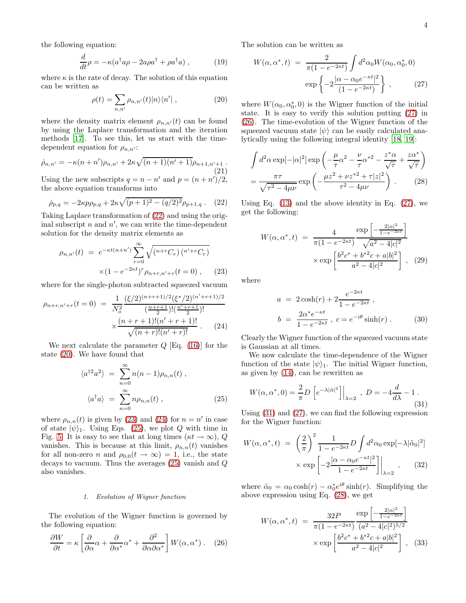the following equation:

$$
\frac{d}{dt}\rho = -\kappa (a^{\dagger}a\rho - 2a\rho a^{\dagger} + \rho a^{\dagger}a) , \qquad (19)
$$

where  $\kappa$  is the rate of decay. The solution of this equation can be written as

<span id="page-3-1"></span>
$$
\rho(t) = \sum_{n,n'} \rho_{n,n'}(t) |n\rangle\langle n'| \,,\tag{20}
$$

where the density matrix element  $\rho_{n,n'}(t)$  can be found by using the Laplace transformation and the iteration methods [\[17](#page-5-16)]. To see this, let us start with the timedependent equation for  $\rho_{n,n'}$ :

$$
\dot{\rho}_{n,n'} = -\kappa (n+n')\rho_{n,n'} + 2\kappa \sqrt{(n+1)(n'+1)}\rho_{n+1,n'+1}.
$$
\n(21)

Using the new subscripts  $q = n - n'$  and  $p = (n + n')/2$ , the above equation transforms into

<span id="page-3-0"></span>
$$
\dot{\rho}_{p,q} = -2\kappa p \rho_{p,q} + 2\kappa \sqrt{(p+1)^2 - (q/2)^2} \rho_{p+1,q} . \quad (22)
$$

Taking Laplace transformation of [\(22\)](#page-3-0) and using the original subscript  $n$  and  $n'$ , we can write the time-dependent solution for the density matrix elements as

<span id="page-3-2"></span>
$$
\rho_{n,n'}(t) = e^{-\kappa t (n+n')} \sum_{r=0}^{\infty} \sqrt{(n+r C_r) (n'+r C_r)}
$$

$$
\times (1 - e^{-2\kappa t})^r \rho_{n+r,n'+r}(t=0), \qquad (23)
$$

where for the single-photon subtracted squeezed vacuum

<span id="page-3-3"></span>
$$
\rho_{n+r,n'+r}(t=0) = \frac{1}{N_o^2} \frac{(\xi/2)^{(n+r+1)/2} (\xi^*/2)^{(n'+r+1)/2}}{\left(\frac{n+r+1}{2}\right)! \left(\frac{n'+r+1}{2}\right)!} \times \frac{(n+r+1)!(n'+r+1)!}{\sqrt{(n+r)!(n'+r)!}}.
$$
 (24)

We next calculate the parameter  $Q$  [Eq. [\(16\)](#page-2-5)] for the state [\(20\)](#page-3-1). We have found that

<span id="page-3-4"></span>
$$
\langle a^{\dagger 2} a^2 \rangle = \sum_{n=0}^{\infty} n(n-1)\rho_{n,n}(t) ,
$$

$$
\langle a^{\dagger} a \rangle = \sum_{n=0}^{\infty} n \rho_{n,n}(t) ,
$$
 (25)

where  $\rho_{n,n}(t)$  is given by [\(23\)](#page-3-2) and [\(24\)](#page-3-3) for  $n = n'$  in case of state  $|\psi\rangle_1$ . Using Eqs. [\(25\)](#page-3-4), we plot Q with time in Fig. [5.](#page-1-7) It is easy to see that at long times ( $\kappa t \to \infty$ ), Q vanishes. This is because at this limit,  $\rho_{n,n}(t)$  vanishes for all non-zero *n* and  $\rho_{0,0}(t \to \infty) = 1$ , i.e., the state decays to vacuum. Thus the averages [\(25\)](#page-3-4) vanish and Q also vanishes.

#### 1. Evolution of Wigner function

The evolution of the Wigner function is governed by the following equation:

<span id="page-3-6"></span>
$$
\frac{\partial W}{\partial t} = \kappa \left[ \frac{\partial}{\partial \alpha} \alpha + \frac{\partial}{\partial \alpha^*} \alpha^* + \frac{\partial^2}{\partial \alpha \partial \alpha^*} \right] W(\alpha, \alpha^*) \ . \tag{26}
$$

The solution can be written as

<span id="page-3-5"></span>
$$
W(\alpha, \alpha^*, t) = \frac{2}{\pi (1 - e^{-2\kappa t})} \int d^2 \alpha_0 W(\alpha_0, \alpha_0^*, 0)
$$

$$
\exp \left\{-2 \frac{|\alpha - \alpha_0 e^{-\kappa t}|^2}{(1 - e^{-2\kappa t})}\right\}, \qquad (27)
$$

where  $W(\alpha_0, \alpha_0^*, 0)$  is the Wigner function of the initial state. It is easy to verify this solution putting [\(27\)](#page-3-5) in [\(26\)](#page-3-6). The time-evolution of the Wigner function of the squeezed vacuum state  $|\psi\rangle$  can be easily calculated analytically using the following integral identity [\[18](#page-5-17), [19\]](#page-5-18):

<span id="page-3-8"></span>
$$
\int d^2\alpha \exp[-|\alpha|^2] \exp\left(-\frac{\mu}{\tau}\alpha^2 - \frac{\nu}{\tau}\alpha^{*2} - \frac{z^*\alpha}{\sqrt{\tau}} + \frac{z\alpha^*}{\sqrt{\tau}}\right)
$$

$$
= \frac{\pi\tau}{\sqrt{\tau^2 - 4\mu\nu}} \exp\left(-\frac{\mu z^2 + \nu z^{*2} + \tau|z|^2}{\tau^2 - 4\mu\nu}\right). \tag{28}
$$

Using Eq.  $(13)$  and the above identity in Eq.  $(27)$ , we get the following:

$$
W(\alpha, \alpha^*, t) = \frac{4}{\pi (1 - e^{-2\kappa t})} \frac{\exp \left[ -\frac{2|\alpha|^2}{1 - e^{-2\kappa t}} \right]}{\sqrt{a^2 - 4|c|^2}}
$$

$$
\times \exp \left[ \frac{b^2 c^* + b^{*2} c + a|b|^2}{a^2 - 4|c|^2} \right], \quad (29)
$$

where

$$
a = 2\cosh(r) + 2\frac{e^{-2\kappa t}}{1 - e^{-2\kappa t}},
$$
  
\n
$$
b = \frac{2\alpha^* e^{-\kappa t}}{1 - e^{-2\kappa t}}, c = e^{-i\theta} \sinh(r).
$$
 (30)

Clearly the Wigner function of the squeezed vacuum state is Gaussian at all times.

We now calculate the time-dependence of the Wigner function of the state  $|\psi\rangle_1$ . The initial Wigner function, as given by [\(14\)](#page-2-3), can be rewritten as

<span id="page-3-7"></span>
$$
W(\alpha, \alpha^*, 0) = \frac{2}{\pi} D \left[ e^{-\lambda |\tilde{\alpha}|^2} \right] \Big|_{\lambda=2} , D = -4 \frac{d}{d\lambda} - 1 .
$$
\n(31)

Using [\(31\)](#page-3-7) and [\(27\)](#page-3-5), we can find the following expression for the Wigner function:

$$
W(\alpha, \alpha^*, t) = \left(\frac{2}{\pi}\right)^2 \frac{1}{1 - e^{-2\kappa t}} D \int d^2 \alpha_0 \exp[-\lambda |\tilde{\alpha}_0|^2]
$$

$$
\times \exp\left[-2\frac{|\alpha - \alpha_0 e^{-\kappa t}|^2}{1 - e^{-2\kappa t}}\right]\Big|_{\lambda=2}, \quad (32)
$$

where  $\tilde{\alpha}_0 = \alpha_0 \cosh(r) - \alpha_0^* e^{i\theta} \sinh(r)$ . Simplifying the above expression using Eq. [\(28\)](#page-3-8), we get

<span id="page-3-9"></span>
$$
W(\alpha, \alpha^*, t) = \frac{32P}{\pi (1 - e^{-2\kappa t})} \frac{\exp \left[-\frac{2|\alpha|^2}{1 - e^{-2\kappa t}}\right]}{(a^2 - 4|c|^2)^{5/2}} \times \exp \left[\frac{b^2 c^* + b^{*2} c + a|b|^2}{a^2 - 4|c|^2}\right], \quad (33)
$$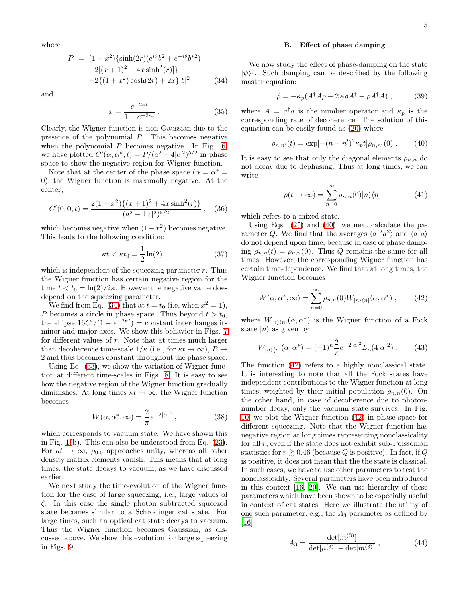where

<span id="page-4-0"></span>
$$
P = (1 - x^2)\{\sinh(2r)(e^{i\theta}b^2 + e^{-i\theta}b^{*2})
$$
  
+2[(x + 1)<sup>2</sup> + 4x sinh<sup>2</sup>(r)]  
+2{(1 + x<sup>2</sup>) cosh(2r) + 2x} |b|<sup>2</sup> (34)

and

$$
x = \frac{e^{-2\kappa t}}{1 - e^{-2\kappa t}}.
$$
\n(35)

Clearly, the Wigner function is non-Gaussian due to the presence of the polynomial P. This becomes negative when the polynomial  $P$  becomes negative. In Fig. [6,](#page-1-8) we have plotted  $C'(\alpha, \alpha^*, t) = P/(a^2 - 4|c|^2)^{5/2}$  in phase space to show the negative region for Wigner function.

Note that at the center of the phase space  $(\alpha = \alpha^* =$ 0), the Wigner function is maximally negative. At the center,

$$
C'(0,0,t) = \frac{2(1-x^2)\{(x+1)^2 + 4x\sinh^2(r)\}}{(a^2 - 4|c|^2)^{5/2}},
$$
 (36)

which becomes negative when  $(1-x^2)$  becomes negative. This leads to the following condition:

$$
\kappa t < \kappa t_0 = \frac{1}{2} \ln(2) \;, \tag{37}
$$

which is independent of the squeezing parameter  $r$ . Thus the Wigner function has certain negative region for the time  $t < t_0 = \ln(2)/2\kappa$ . However the negative value does depend on the squeezing parameter.

We find from Eq. [\(34\)](#page-4-0) that at  $t = t_0$  (i.e, when  $x^2 = 1$ ), P becomes a circle in phase space. Thus beyond  $t > t_0$ , the ellipse  $16C'/(1 - e^{-2\kappa t}) = \text{constant}$  interchanges its minor and major axes. We show this behavior in Figs. [7](#page-1-9) for different values of r. Note that at times much larger than decoherence time-scale  $1/\kappa$  (i.e., for  $\kappa t \to \infty$ ),  $P \to$ 2 and thus becomes constant throughout the phase space.

Using Eq. [\(33\)](#page-3-9), we show the variation of Wigner function at different time-scales in Figs. [8.](#page-2-6) It is easy to see how the negative region of the Wigner function gradually diminishes. At long times  $\kappa t \to \infty$ , the Wigner function becomes

$$
W(\alpha, \alpha^*, \infty) = \frac{2}{\pi} e^{-2|\alpha|^2}, \qquad (38)
$$

which corresponds to vacuum state. We have shown this in Fig. [1\(](#page-1-1)b). This can also be understood from Eq. [\(23\)](#page-3-2). For  $\kappa t \to \infty$ ,  $\rho_{0,0}$  approaches unity, whereas all other density matrix elements vanish. This means that at long times, the state decays to vacuum, as we have discussed earlier.

We next study the time-evolution of the Wigner function for the case of large squeezing, i.e., large values of ζ. In this case the single photon subtracted squeezed state becomes similar to a Schrodinger cat state. For large times, such an optical cat state decays to vacuum. Thus the Wigner function becomes Gaussian, as discussed above. We show this evolution for large squeezing in Figs. [9.](#page-2-7)

### B. Effect of phase damping

We now study the effect of phase-damping on the state  $|\psi\rangle_1$ . Such damping can be described by the following master equation:

$$
\dot{\rho} = -\kappa_p (A^\dagger A \rho - 2A\rho A^\dagger + \rho A^\dagger A) ,\qquad (39)
$$

where  $A = a^{\dagger} a$  is the number operator and  $\kappa_p$  is the corresponding rate of decoherence. The solution of this equation can be easily found as [\(20\)](#page-3-1) where

<span id="page-4-1"></span>
$$
\rho_{n,n'}(t) = \exp[-(n - n')^2 \kappa_p t] \rho_{n,n'}(0) . \qquad (40)
$$

It is easy to see that only the diagonal elements  $\rho_{n,n}$  do not decay due to dephasing. Thus at long times, we can write

$$
\rho(t \to \infty) = \sum_{n=0}^{\infty} \rho_{n,n}(0) |n\rangle\langle n| , \qquad (41)
$$

which refers to a mixed state.

Using Eqs. [\(25\)](#page-3-4) and [\(40\)](#page-4-1), we next calculate the parameter Q. We find that the averages  $\langle a^{\dagger 2} a^2 \rangle$  and  $\langle a^{\dagger} a \rangle$ do not depend upon time, because in case of phase damping  $\rho_{n,n}(t) = \rho_{n,n}(0)$ . Thus Q remains the same for all times. However, the corresponding Wigner function has certain time-dependence. We find that at long times, the Wigner function becomes

<span id="page-4-2"></span>
$$
W(\alpha, \alpha^*, \infty) = \sum_{n=0}^{\infty} \rho_{n,n}(0) W_{|n\rangle\langle n|}(\alpha, \alpha^*) , \qquad (42)
$$

where  $W_{|n\rangle\langle n|}(\alpha, \alpha^*)$  is the Wigner function of a Fock state  $|n\rangle$  as given by

$$
W_{|n\rangle\langle n|}(\alpha, \alpha^*) = (-1)^n \frac{2}{\pi} e^{-2|\alpha|^2} L_n(4|\alpha|^2) . \tag{43}
$$

The function [\(42\)](#page-4-2) refers to a highly nonclassical state. It is interesting to note that all the Fock states have independent contributions to the Wigner function at long times, weighted by their initial population  $\rho_{n,n}(0)$ . On the other hand, in case of decoherence due to photonnumber decay, only the vacuum state survives. In Fig. [10,](#page-5-19) we plot the Wigner function [\(42\)](#page-4-2) in phase space for different squeezing. Note that the Wigner function has negative region at long times representing nonclassicality for all  $r$ , even if the state does not exhibit sub-Poissonian statistics for  $r \gtrsim 0.46$  (because Q is positive). In fact, if Q is positive, it does not mean that the the state is classical. In such cases, we have to use other parameters to test the nonclassicality. Several parameters have been introduced in this context [\[16,](#page-5-15) [20\]](#page-5-20). We can use hierarchy of these parameters which have been shown to be especially useful in context of cat states. Here we illustrate the utility of one such parameter, e.g., the  $A_3$  parameter as defined by [\[16\]](#page-5-15)

$$
A_3 = \frac{\det[m^{(3)}]}{\det[\mu^{(3)}] - \det[m^{(3)}]},
$$
\n(44)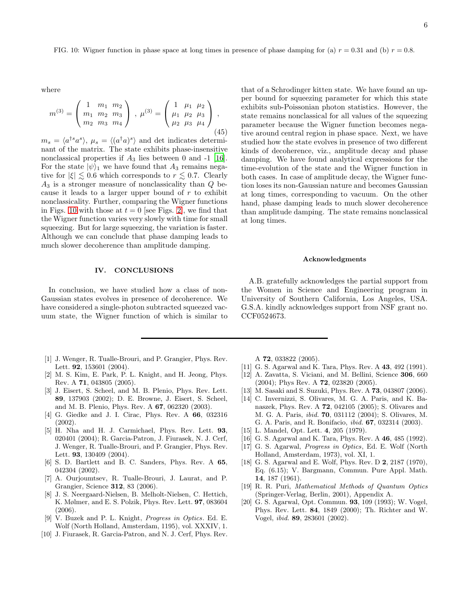<span id="page-5-19"></span>FIG. 10: Wigner function in phase space at long times in presence of phase damping for (a)  $r = 0.31$  and (b)  $r = 0.8$ .

where

$$
m^{(3)} = \begin{pmatrix} 1 & m_1 & m_2 \\ m_1 & m_2 & m_3 \\ m_2 & m_3 & m_4 \end{pmatrix}, \ \mu^{(3)} = \begin{pmatrix} 1 & \mu_1 & \mu_2 \\ \mu_1 & \mu_2 & \mu_3 \\ \mu_2 & \mu_3 & \mu_4 \end{pmatrix},
$$
\n(45)

 $m_s = \langle a^{\dagger s} a^s \rangle, \mu_s = \langle (a^{\dagger} a)^s \rangle$  and det indicates determinant of the matrix. The state exhibits phase-insensitive nonclassical properties if  $A_3$  lies between 0 and -1 [\[16\]](#page-5-15). For the state  $|\psi\rangle_1$  we have found that  $A_3$  remains negative for  $|\xi| \lesssim 0.6$  which corresponds to  $r \lesssim 0.7$ . Clearly  $A_3$  is a stronger measure of nonclassicality than  $Q$  because it leads to a larger upper bound of  $r$  to exhibit nonclassicality. Further, comparing the Wigner functions in Figs. [10](#page-5-19) with those at  $t = 0$  [see Figs. [2\]](#page-1-4), we find that the Wigner function varies very slowly with time for small squeezing. But for large squeezing, the variation is faster. Although we can conclude that phase damping leads to much slower decoherence than amplitude damping.

#### IV. CONCLUSIONS

In conclusion, we have studied how a class of non-Gaussian states evolves in presence of decoherence. We have considered a single-photon subtracted squeezed vacuum state, the Wigner function of which is similar to

- <span id="page-5-0"></span>[1] J. Wenger, R. Tualle-Brouri, and P. Grangier, Phys. Rev. Lett. **92**, 153601 (2004).
- <span id="page-5-1"></span>[2] M. S. Kim, E. Park, P. L. Knight, and H. Jeong, Phys. Rev. A 71, 043805 (2005).
- <span id="page-5-2"></span>[3] J. Eisert, S. Scheel, and M. B. Plenio, Phys. Rev. Lett. 89, 137903 (2002); D. E. Browne, J. Eisert, S. Scheel, and M. B. Plenio, Phys. Rev. A 67, 062320 (2003).
- <span id="page-5-3"></span>[4] G. Giedke and J. I. Cirac, Phys. Rev. A 66, 032316 (2002).
- <span id="page-5-4"></span>[5] H. Nha and H. J. Carmichael, Phys. Rev. Lett. 93, 020401 (2004); R. Garcia-Patron, J. Fiurasek, N. J. Cerf, J. Wenger, R. Tualle-Brouri, and P. Grangier, Phys. Rev. Lett. 93, 130409 (2004).
- <span id="page-5-5"></span>[6] S. D. Bartlett and B. C. Sanders, Phys. Rev. A 65, 042304 (2002).
- <span id="page-5-6"></span>[7] A. Ourjoumtsev, R. Tualle-Brouri, J. Laurat, and P. Grangier, Science 312, 83 (2006).
- <span id="page-5-7"></span>[8] J. S. Neergaard-Nielsen, B. Melholt-Nielsen, C. Hettich, K. Mølmer, and E. S. Polzik, Phys. Rev. Lett. 97, 083604 (2006).
- <span id="page-5-8"></span>[9] V. Buzek and P. L. Knight, Progress in Optics. Ed. E. Wolf (North Holland, Amsterdam, 1195), vol. XXXIV, 1.
- <span id="page-5-9"></span>[10] J. Fiurasek, R. Garcia-Patron, and N. J. Cerf, Phys. Rev.

that of a Schrodinger kitten state. We have found an upper bound for squeezing parameter for which this state exhibits sub-Poissonian photon statistics. However, the state remains nonclassical for all values of the squeezing parameter because the Wigner function becomes negative around central region in phase space. Next, we have studied how the state evolves in presence of two different kinds of decoherence, viz., amplitude decay and phase damping. We have found analytical expressions for the time-evolution of the state and the Wigner function in both cases. In case of amplitude decay, the Wigner function loses its non-Gaussian nature and becomes Gaussian at long times, corresponding to vacuum. On the other hand, phase damping leads to much slower decoherence than amplitude damping. The state remains nonclassical at long times.

### Acknowledgments

A.B. gratefully acknowledges the partial support from the Women in Science and Engineering program in University of Southern California, Los Angeles, USA. G.S.A. kindly acknowledges support from NSF grant no. CCF0524673.

A 72, 033822 (2005).

- <span id="page-5-10"></span>[11] G. S. Agarwal and K. Tara, Phys. Rev. A **43**, 492 (1991).
- <span id="page-5-11"></span>[12] A. Zavatta, S. Viciani, and M. Bellini, Science 306, 660  $(2004)$ ; Phys Rev. A **72**, 023820  $(2005)$ .
- <span id="page-5-12"></span>[13] M. Sasaki and S. Suzuki, Phys. Rev. A 73, 043807 (2006).
- <span id="page-5-13"></span>[14] C. Invernizzi, S. Olivares, M. G. A. Paris, and K. Banaszek, Phys. Rev. A 72, 042105 (2005); S. Olivares and M. G. A. Paris, ibid. 70, 031112 (2004); S. Olivares, M. G. A. Paris, and R. Bonifacio, ibid. 67, 032314 (2003).
- <span id="page-5-14"></span>[15] L. Mandel, Opt. Lett. 4, 205 (1979).
- <span id="page-5-15"></span>[16] G. S. Agarwal and K. Tara, Phys. Rev. A 46, 485 (1992).
- <span id="page-5-16"></span>[17] G. S. Agarwal, Progress in Optics, Ed. E. Wolf (North Holland, Amsterdam, 1973), vol. XI, 1.
- <span id="page-5-17"></span>[18] G. S. Agarwal and E. Wolf, Phys. Rev. D 2, 2187 (1970), Eq. (6.15); V. Bargmann, Commun. Pure Appl. Math. 14, 187 (1961).
- <span id="page-5-18"></span>[19] R. R. Puri, Mathematical Methods of Quantum Optics (Springer-Verlag, Berlin, 2001), Appendix A.
- <span id="page-5-20"></span>[20] G. S. Agarwal, Opt. Commun. 93, 109 (1993); W. Vogel, Phys. Rev. Lett. 84, 1849 (2000); Th. Richter and W. Vogel, ibid. 89, 283601 (2002).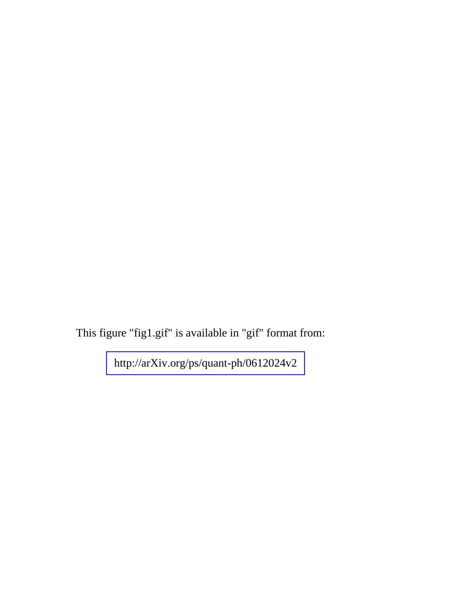This figure "fig1.gif" is available in "gif" format from: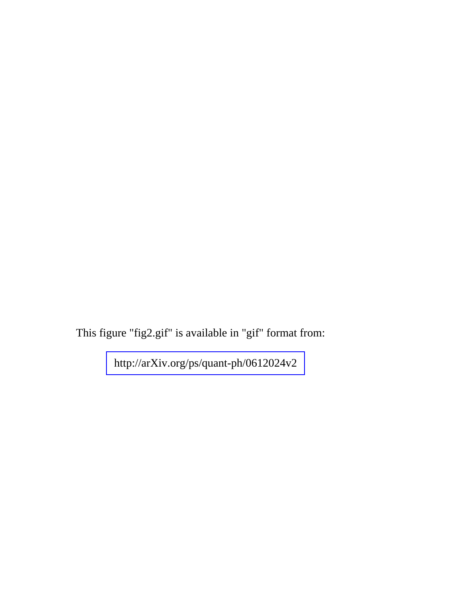This figure "fig2.gif" is available in "gif" format from: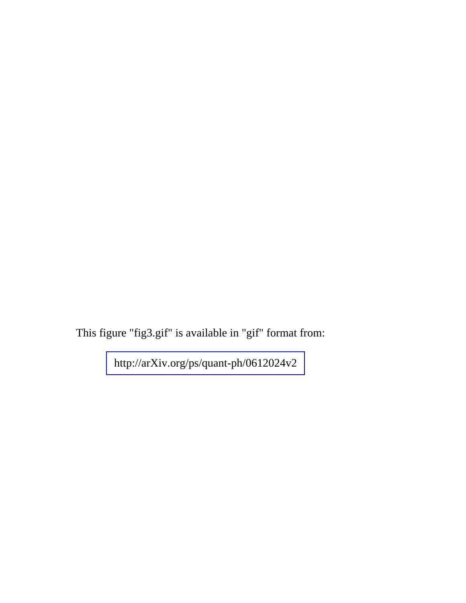This figure "fig3.gif" is available in "gif" format from: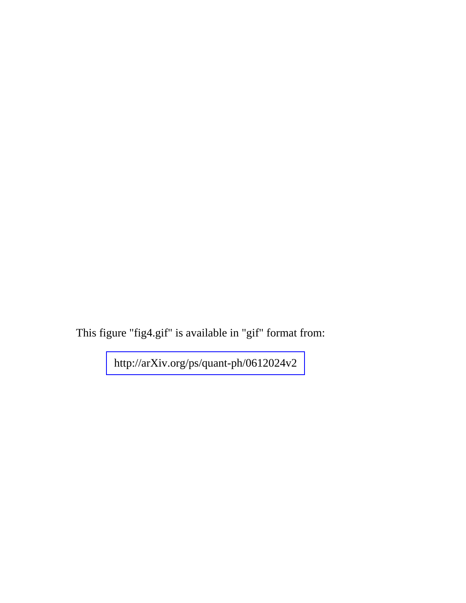This figure "fig4.gif" is available in "gif" format from: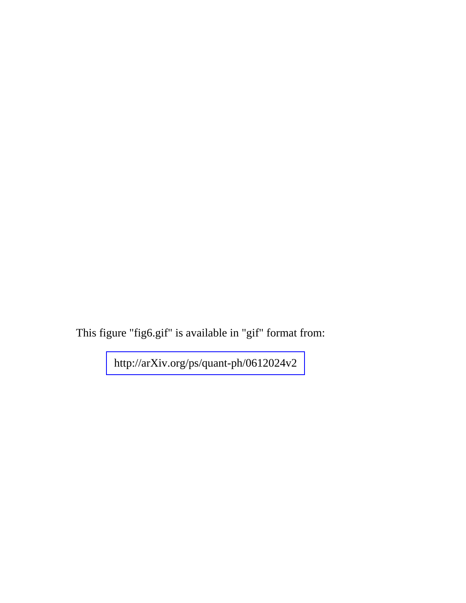This figure "fig6.gif" is available in "gif" format from: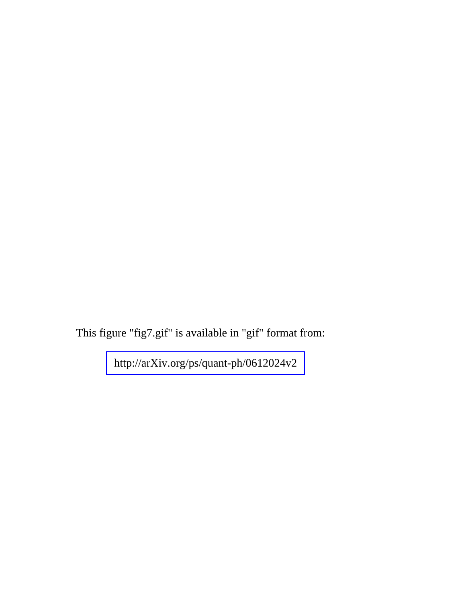This figure "fig7.gif" is available in "gif" format from: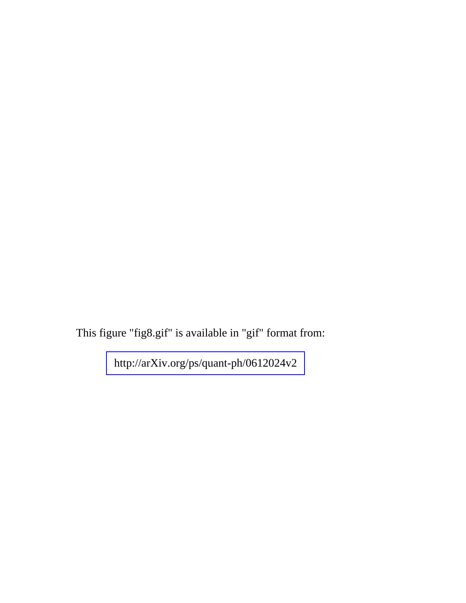This figure "fig8.gif" is available in "gif" format from: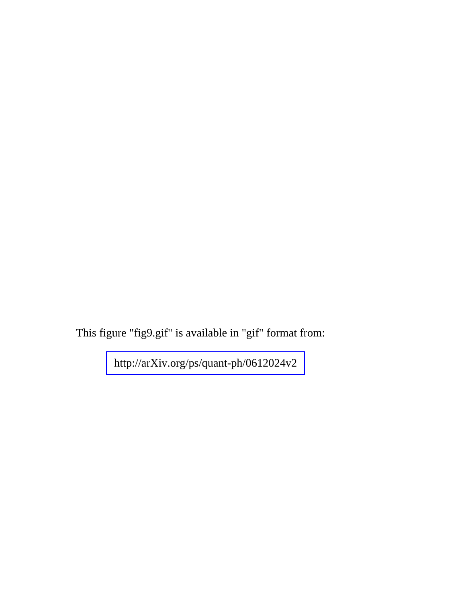This figure "fig9.gif" is available in "gif" format from: